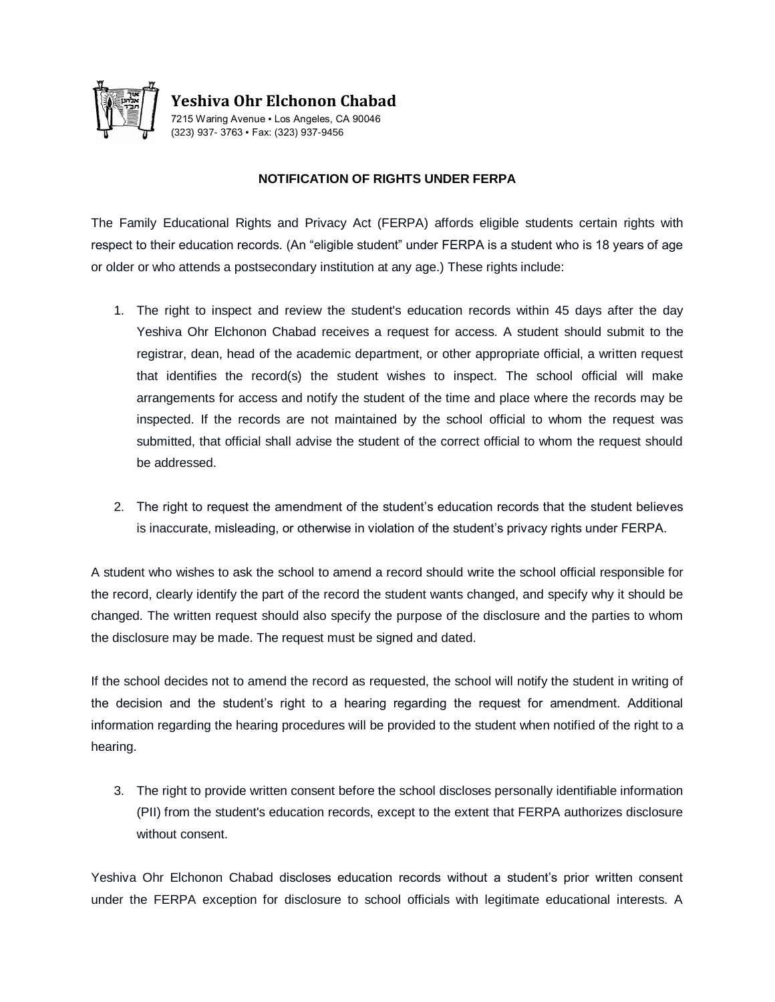

**Yeshiva Ohr Elchonon Chabad**

7215 Waring Avenue ▪ Los Angeles, CA 90046 (323) 937- 3763 ▪ Fax: (323) 937-9456

## **NOTIFICATION OF RIGHTS UNDER FERPA**

The Family Educational Rights and Privacy Act (FERPA) affords eligible students certain rights with respect to their education records. (An "eligible student" under FERPA is a student who is 18 years of age or older or who attends a postsecondary institution at any age.) These rights include:

- 1. The right to inspect and review the student's education records within 45 days after the day Yeshiva Ohr Elchonon Chabad receives a request for access. A student should submit to the registrar, dean, head of the academic department, or other appropriate official, a written request that identifies the record(s) the student wishes to inspect. The school official will make arrangements for access and notify the student of the time and place where the records may be inspected. If the records are not maintained by the school official to whom the request was submitted, that official shall advise the student of the correct official to whom the request should be addressed.
- 2. The right to request the amendment of the student's education records that the student believes is inaccurate, misleading, or otherwise in violation of the student's privacy rights under FERPA.

A student who wishes to ask the school to amend a record should write the school official responsible for the record, clearly identify the part of the record the student wants changed, and specify why it should be changed. The written request should also specify the purpose of the disclosure and the parties to whom the disclosure may be made. The request must be signed and dated.

If the school decides not to amend the record as requested, the school will notify the student in writing of the decision and the student's right to a hearing regarding the request for amendment. Additional information regarding the hearing procedures will be provided to the student when notified of the right to a hearing.

3. The right to provide written consent before the school discloses personally identifiable information (PII) from the student's education records, except to the extent that FERPA authorizes disclosure without consent.

Yeshiva Ohr Elchonon Chabad discloses education records without a student's prior written consent under the FERPA exception for disclosure to school officials with legitimate educational interests. A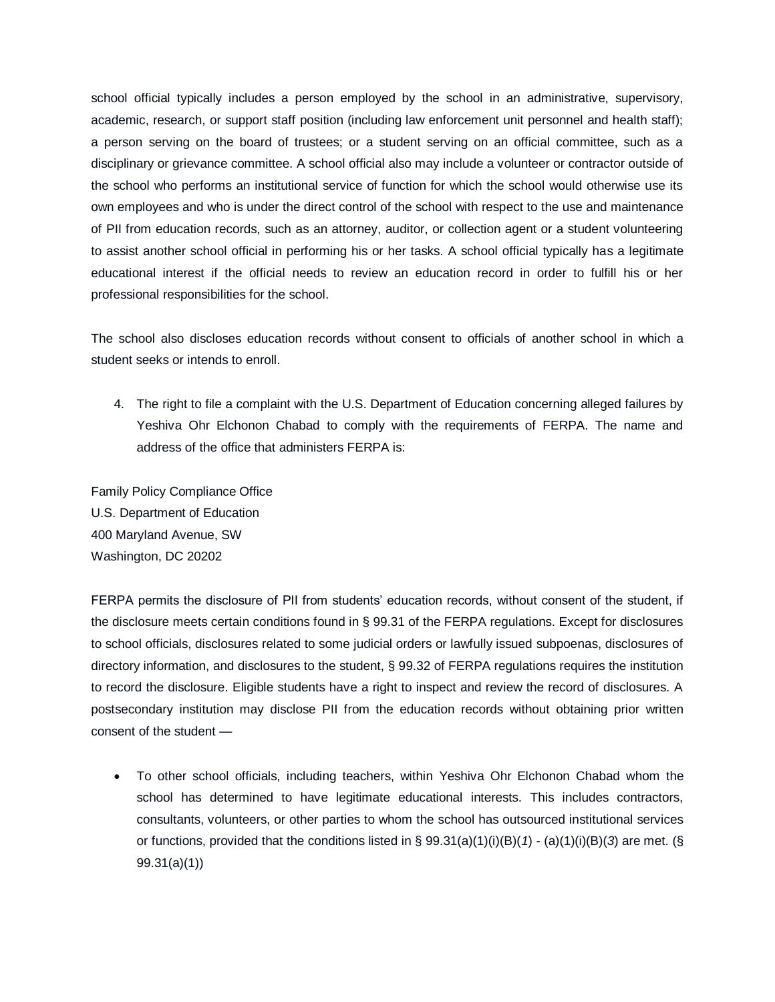school official typically includes a person employed by the school in an administrative, supervisory, academic, research, or support staff position (including law enforcement unit personnel and health staff); a person serving on the board of trustees; or a student serving on an official committee, such as a disciplinary or grievance committee. A school official also may include a volunteer or contractor outside of the school who performs an institutional service of function for which the school would otherwise use its own employees and who is under the direct control of the school with respect to the use and maintenance of PII from education records, such as an attorney, auditor, or collection agent or a student volunteering to assist another school official in performing his or her tasks. A school official typically has a legitimate educational interest if the official needs to review an education record in order to fulfill his or her professional responsibilities for the school.

The school also discloses education records without consent to officials of another school in which a student seeks or intends to enroll.

4. The right to file a complaint with the U.S. Department of Education concerning alleged failures by Yeshiva Ohr Elchonon Chabad to comply with the requirements of FERPA. The name and address of the office that administers FERPA is:

Family Policy Compliance Office U.S. Department of Education 400 Maryland Avenue, SW Washington, DC 20202

FERPA permits the disclosure of PII from students' education records, without consent of the student, if the disclosure meets certain conditions found in § 99.31 of the FERPA regulations. Except for disclosures to school officials, disclosures related to some judicial orders or lawfully issued subpoenas, disclosures of directory information, and disclosures to the student, § 99.32 of FERPA regulations requires the institution to record the disclosure. Eligible students have a right to inspect and review the record of disclosures. A postsecondary institution may disclose PII from the education records without obtaining prior written consent of the student —

 To other school officials, including teachers, within Yeshiva Ohr Elchonon Chabad whom the school has determined to have legitimate educational interests. This includes contractors, consultants, volunteers, or other parties to whom the school has outsourced institutional services or functions, provided that the conditions listed in § 99.31(a)(1)(i)(B)(*1*) - (a)(1)(i)(B)(*3*) are met. (§ 99.31(a)(1))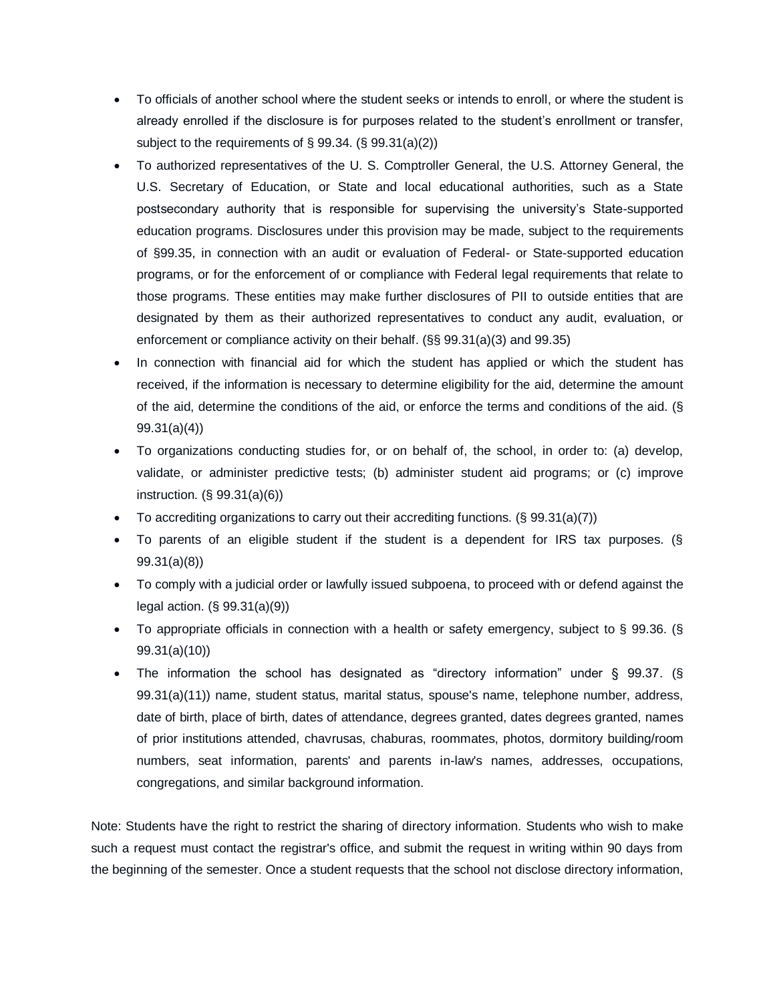- To officials of another school where the student seeks or intends to enroll, or where the student is already enrolled if the disclosure is for purposes related to the student's enrollment or transfer, subject to the requirements of § 99.34. (§ 99.31(a)(2))
- To authorized representatives of the U. S. Comptroller General, the U.S. Attorney General, the U.S. Secretary of Education, or State and local educational authorities, such as a State postsecondary authority that is responsible for supervising the university's State-supported education programs. Disclosures under this provision may be made, subject to the requirements of §99.35, in connection with an audit or evaluation of Federal- or State-supported education programs, or for the enforcement of or compliance with Federal legal requirements that relate to those programs. These entities may make further disclosures of PII to outside entities that are designated by them as their authorized representatives to conduct any audit, evaluation, or enforcement or compliance activity on their behalf. (§§ 99.31(a)(3) and 99.35)
- In connection with financial aid for which the student has applied or which the student has received, if the information is necessary to determine eligibility for the aid, determine the amount of the aid, determine the conditions of the aid, or enforce the terms and conditions of the aid. (§ 99.31(a)(4))
- To organizations conducting studies for, or on behalf of, the school, in order to: (a) develop, validate, or administer predictive tests; (b) administer student aid programs; or (c) improve instruction. (§ 99.31(a)(6))
- To accrediting organizations to carry out their accrediting functions.  $(\S$  99.31(a)(7))
- To parents of an eligible student if the student is a dependent for IRS tax purposes. (§ 99.31(a)(8))
- To comply with a judicial order or lawfully issued subpoena, to proceed with or defend against the legal action. (§ 99.31(a)(9))
- To appropriate officials in connection with a health or safety emergency, subject to § 99.36. (§ 99.31(a)(10))
- The information the school has designated as "directory information" under § 99.37. (§ 99.31(a)(11)) name, student status, marital status, spouse's name, telephone number, address, date of birth, place of birth, dates of attendance, degrees granted, dates degrees granted, names of prior institutions attended, chavrusas, chaburas, roommates, photos, dormitory building/room numbers, seat information, parents' and parents in-law's names, addresses, occupations, congregations, and similar background information.

Note: Students have the right to restrict the sharing of directory information. Students who wish to make such a request must contact the registrar's office, and submit the request in writing within 90 days from the beginning of the semester. Once a student requests that the school not disclose directory information,